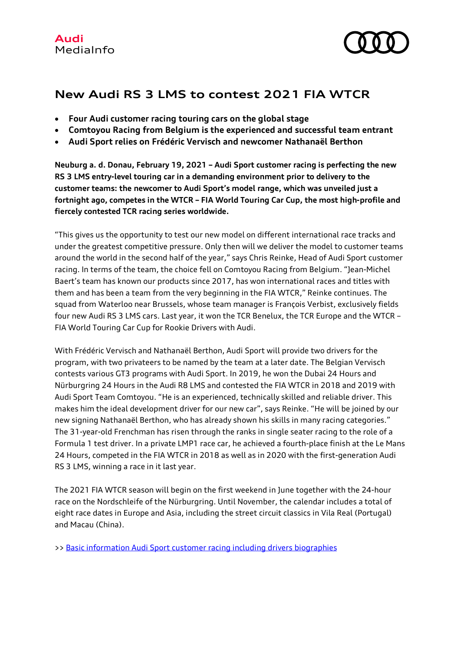

## **New Audi RS 3 LMS to contest 2021 FIA WTCR**

- **Four Audi customer racing touring cars on the global stage**
- **Comtoyou Racing from Belgium is the experienced and successful team entrant**
- **Audi Sport relies on Frédéric Vervisch and newcomer Nathanaël Berthon**

**Neuburg a. d. Donau, February 19, 2021 – Audi Sport customer racing is perfecting the new RS 3 LMS entry-level touring car in a demanding environment prior to delivery to the customer teams: the newcomer to Audi Sport's model range, which was unveiled just a fortnight ago, competes in the WTCR – FIA World Touring Car Cup, the most high-profile and fiercely contested TCR racing series worldwide.**

"This gives us the opportunity to test our new model on different international race tracks and under the greatest competitive pressure. Only then will we deliver the model to customer teams around the world in the second half of the year," says Chris Reinke, Head of Audi Sport customer racing. In terms of the team, the choice fell on Comtoyou Racing from Belgium. "Jean-Michel Baert's team has known our products since 2017, has won international races and titles with them and has been a team from the very beginning in the FIA WTCR," Reinke continues. The squad from Waterloo near Brussels, whose team manager is François Verbist, exclusively fields four new Audi RS 3 LMS cars. Last year, it won the TCR Benelux, the TCR Europe and the WTCR – FIA World Touring Car Cup for Rookie Drivers with Audi.

With Frédéric Vervisch and Nathanaël Berthon, Audi Sport will provide two drivers for the program, with two privateers to be named by the team at a later date. The Belgian Vervisch contests various GT3 programs with Audi Sport. In 2019, he won the Dubai 24 Hours and Nürburgring 24 Hours in the Audi R8 LMS and contested the FIA WTCR in 2018 and 2019 with Audi Sport Team Comtoyou. "He is an experienced, technically skilled and reliable driver. This makes him the ideal development driver for our new car", says Reinke. "He will be joined by our new signing Nathanaël Berthon, who has already shown his skills in many racing categories." The 31-year-old Frenchman has risen through the ranks in single seater racing to the role of a Formula 1 test driver. In a private LMP1 race car, he achieved a fourth-place finish at the Le Mans 24 Hours, competed in the FIA WTCR in 2018 as well as in 2020 with the first-generation Audi RS 3 LMS, winning a race in it last year.

The 2021 FIA WTCR season will begin on the first weekend in June together with the 24-hour race on the Nordschleife of the Nürburgring. Until November, the calendar includes a total of eight race dates in Europe and Asia, including the street circuit classics in Vila Real (Portugal) and Macau (China).

>> [Basic information Audi Sport customer racing including drivers biographies](https://www.audi-mediacenter.com/en/audi-sport-customer-racing-2021-13733)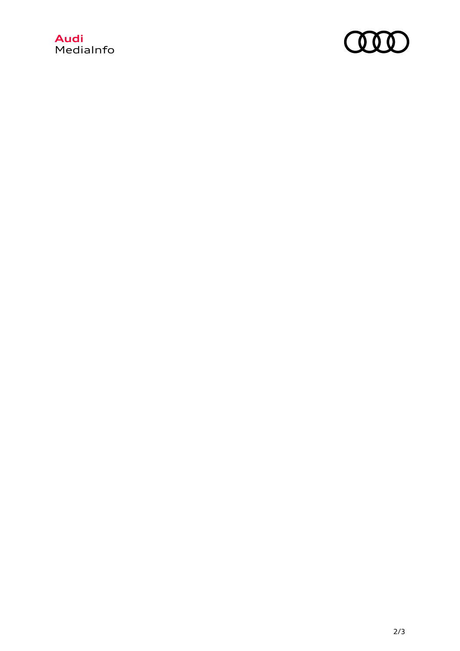